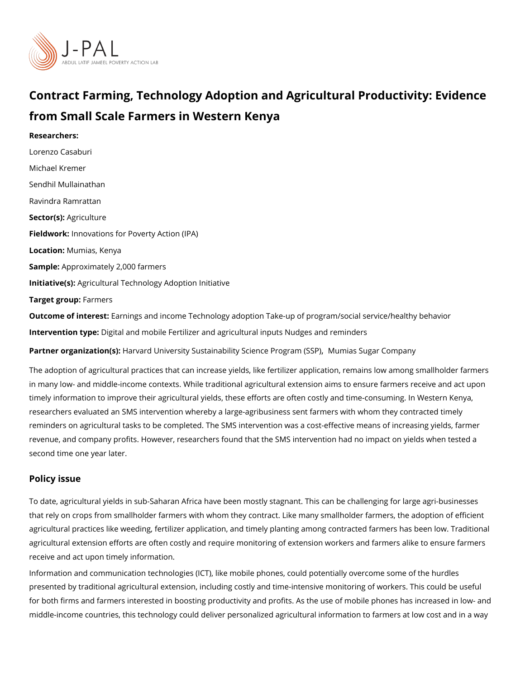# Contract Farming, Technology Adoption and Agricultural Pro from Small Scale Farmers in Western Kenya

Researchers: [Lorenzo Ca](https://www.povertyactionlab.org/person/casaburi)saburi [Michael Kr](https://www.povertyactionlab.org/person/kremer)emer [Sendhil Mulla](https://www.povertyactionlab.org/person/mullainathan)inathan Ravindra Ramrattan Sector([Agricul](https://www.povertyactionlab.org/sector/agriculture)ture Fieldworkhnovations for Poverty Action (IPA) LocatioM:umias, Kenya Sample: proximately 2,000 farmers Initiative (s): icultural Technology Adoption Initiative Target grofips mers

Outcome of inte Eastings and income Technology adoption Take-up of program/social servi Intervention topportal and mobile Fertilizer and agricultural inputs Nudges and reminders Partner organizatHioan (sa)rd University Sustainability Scienchicum e Prosoguagum (GSGMP) pany

The adoption of agricultural practices that can increase yields, like fertilizer application, in many low- and middle-income contexts. While traditional agricultural extension aims to timely information to improve their agricultural yields, these efforts are often costly and researchers evaluated an SMS intervention whereby a large-agribusiness sent farmers wit reminders on agricultural tasks to be completed. The SMS intervention was a cost-effectiv revenue, and company profits. However, researchers found that the SMS intervention had second time one year later.

#### Policy issue

To date, agricultural yields in sub-Saharan Africa have been mostly stagnant. This can be that rely on crops from smallholder farmers with whom they contract. Like many smallhold agricultural practices like weeding, fertilizer application, and timely planting among contr agricultural extension efforts are often costly and require monitoring of extension workers receive and act upon timely information.

Information and communication technologies (ICT), like mobile phones, could potentially of presented by traditional agricultural extension, including costly and time-intensive monito for both firms and farmers interested in boosting productivity and profits. As the use of m middle-income countries, this technology could deliver personalized agricultural informati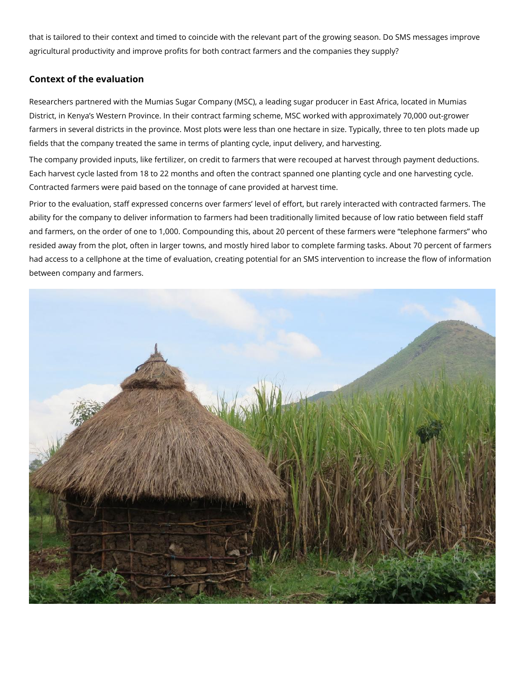that tias ilored to their context and timed to coincide with the relevaDnot SpMalSt monest be goenso winning os agricultural productivity and improve profits for both contract farmers and the companies

#### Context of the evaluation

Researchers partnered with the Mumias Sugar Company (MSC), a leading sugar producer i District, in Kenya s Western Province. In their contract farming scheme, MSC worked with farmers in several districts in the province. Most plots were less than one hectare in size fields that the company treated the same in terms of planting cycle, input delivery, and h The company provided inputs, like fertilizer, on credit to farmers that were recouped at h Each harvest cycle lasted from 18 to 22 months and often the contract spanned one planti Contracted farmers were paid based on the tonnage of cane provided at harvest time.

Prior to the evaluation, staff expressed concerns over farmers level of effort, but rarely ability for the company to deliver information to farmers had been traditionally limited be and farmers, on the order of one to 1,000. Compounding this, about 20 percent of these fa resided away from the plot, often in larger towns, and mostly hired labor to complete farm had access to a cellphone at the time of evaluation, creating potential for an SMS interve between company and farmers.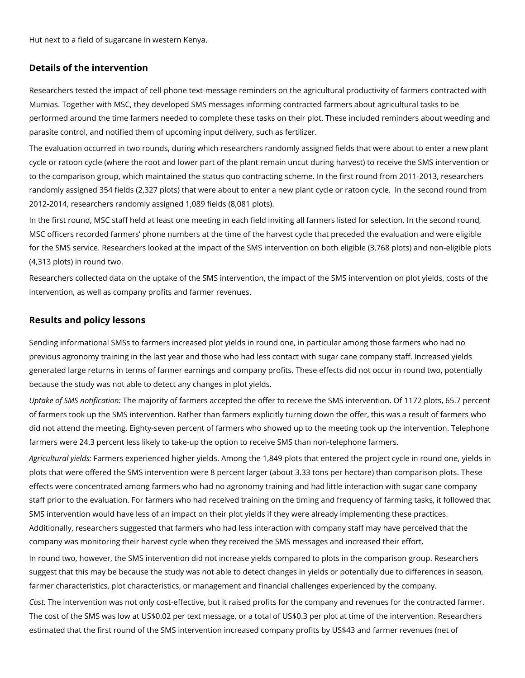Hut next to a field of sugarcane in western Kenya.

## **Details of the intervention**

Researchers tested the impact of cell-phone text-message reminders on the agricultural productivity of farmers contracted with Mumias. Together with MSC, they developed SMS messages informing contracted farmers about agricultural tasks to be performed around the time farmers needed to complete these tasks on their plot. These included reminders about weeding and parasite control, and notified them of upcoming input delivery, such as fertilizer.

The evaluation occurred in two rounds, during which researchers randomly assigned fields that were about to enter a new plant cycle or ratoon cycle (where the root and lower part of the plant remain uncut during harvest) to receive the SMS intervention or to the comparison group, which maintained the status quo contracting scheme. In the first round from 2011-2013, researchers randomly assigned 354 fields (2,327 plots) that were about to enter a new plant cycle or ratoon cycle. In the second round from 2012-2014, researchers randomly assigned 1,089 fields (8,081 plots).

In the first round, MSC staff held at least one meeting in each field inviting all farmers listed for selection. In the second round, MSC officers recorded farmers' phone numbers at the time of the harvest cycle that preceded the evaluation and were eligible for the SMS service. Researchers looked at the impact of the SMS intervention on both eligible (3,768 plots) and non-eligible plots (4,313 plots) in round two.

Researchers collected data on the uptake of the SMS intervention, the impact of the SMS intervention on plot yields, costs of the intervention, as well as company profits and farmer revenues.

## **Results and policy lessons**

Sending informational SMSs to farmers increased plot yields in round one, in particular among those farmers who had no previous agronomy training in the last year and those who had less contact with sugar cane company staff. Increased yields generated large returns in terms of farmer earnings and company profits. These effects did not occur in round two, potentially because the study was not able to detect any changes in plot yields.

*Uptake of SMS notification:* The majority of farmers accepted the offer to receive the SMS intervention. Of 1172 plots, 65.7 percent of farmers took up the SMS intervention. Rather than farmers explicitly turning down the offer, this was a result of farmers who did not attend the meeting. Eighty-seven percent of farmers who showed up to the meeting took up the intervention. Telephone farmers were 24.3 percent less likely to take-up the option to receive SMS than non-telephone farmers.

*Agricultural yields:* Farmers experienced higher yields. Among the 1,849 plots that entered the project cycle in round one, yields in plots that were offered the SMS intervention were 8 percent larger (about 3.33 tons per hectare) than comparison plots. These effects were concentrated among farmers who had no agronomy training and had little interaction with sugar cane company staff prior to the evaluation. For farmers who had received training on the timing and frequency of farming tasks, it followed that SMS intervention would have less of an impact on their plot yields if they were already implementing these practices. Additionally, researchers suggested that farmers who had less interaction with company staff may have perceived that the company was monitoring their harvest cycle when they received the SMS messages and increased their effort.

In round two, however, the SMS intervention did not increase yields compared to plots in the comparison group. Researchers suggest that this may be because the study was not able to detect changes in yields or potentially due to differences in season, farmer characteristics, plot characteristics, or management and financial challenges experienced by the company.

*Cost:* The intervention was not only cost-effective, but it raised profits for the company and revenues for the contracted farmer. The cost of the SMS was low at US\$0.02 per text message, or a total of US\$0.3 per plot at time of the intervention. Researchers estimated that the first round of the SMS intervention increased company profits by US\$43 and farmer revenues (net of